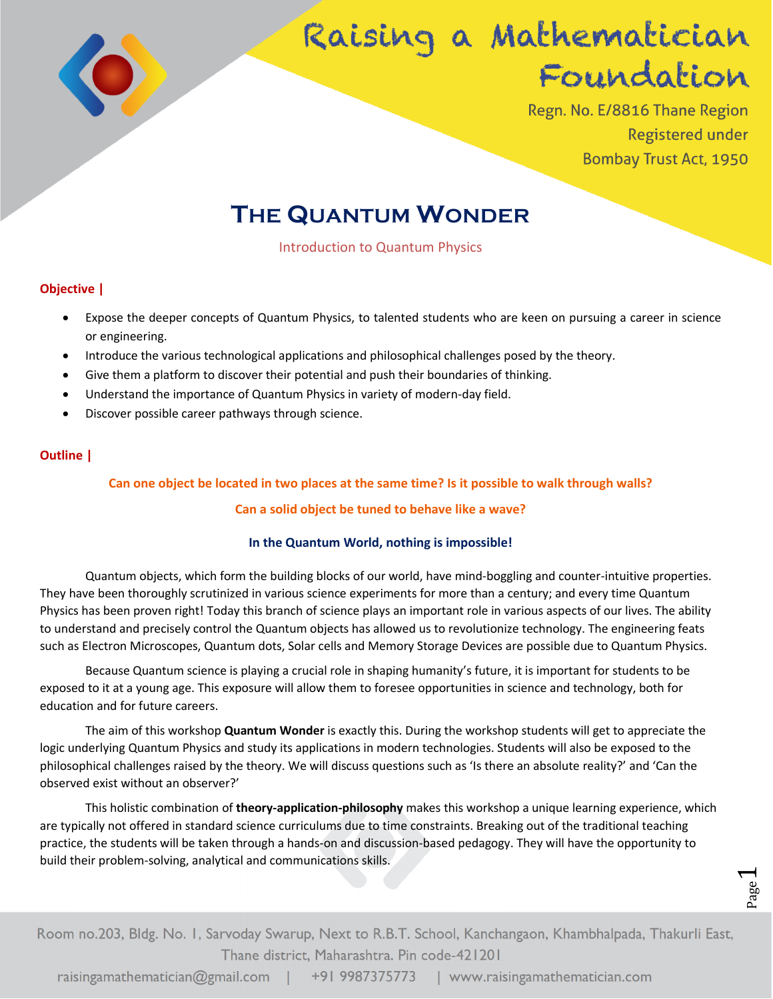

# Raising a Mathematician Foundation

Regn. No. E/8816 Thane Region **Registered under Bombay Trust Act, 1950** 

# **THE QUANTUM WONDER**

Introduction to Quantum Physics

# **Objective |**

- Expose the deeper concepts of Quantum Physics, to talented students who are keen on pursuing a career in science or engineering.
- Introduce the various technological applications and philosophical challenges posed by the theory.
- Give them a platform to discover their potential and push their boundaries of thinking.
- Understand the importance of Quantum Physics in variety of modern-day field.
- Discover possible career pathways through science.

# **Outline |**

## **Can one object be located in two places at the same time? Is it possible to walk through walls?**

### **Can a solid object be tuned to behave like a wave?**

### **In the Quantum World, nothing is impossible!**

Quantum objects, which form the building blocks of our world, have mind-boggling and counter-intuitive properties. They have been thoroughly scrutinized in various science experiments for more than a century; and every time Quantum Physics has been proven right! Today this branch of science plays an important role in various aspects of our lives. The ability to understand and precisely control the Quantum objects has allowed us to revolutionize technology. The engineering feats such as Electron Microscopes, Quantum dots, Solar cells and Memory Storage Devices are possible due to Quantum Physics.

Because Quantum science is playing a crucial role in shaping humanity's future, it is important for students to be exposed to it at a young age. This exposure will allow them to foresee opportunities in science and technology, both for education and for future careers.

The aim of this workshop **Quantum Wonder** is exactly this. During the workshop students will get to appreciate the logic underlying Quantum Physics and study its applications in modern technologies. Students will also be exposed to the philosophical challenges raised by the theory. We will discuss questions such as 'Is there an absolute reality?' and 'Can the observed exist without an observer?'

This holistic combination of **theory-application-philosophy** makes this workshop a unique learning experience, which are typically not offered in standard science curriculums due to time constraints. Breaking out of the traditional teaching practice, the students will be taken through a hands-on and discussion-based pedagogy. They will have the opportunity to build their problem-solving, analytical and communications skills.

age.  $\overline{\phantom{0}}$ 

Room no.203, Bldg. No. 1, Sarvoday Swarup, Next to R.B.T. School, Kanchangaon, Khambhalpada, Thakurli East, Thane district, Maharashtra. Pin code-421201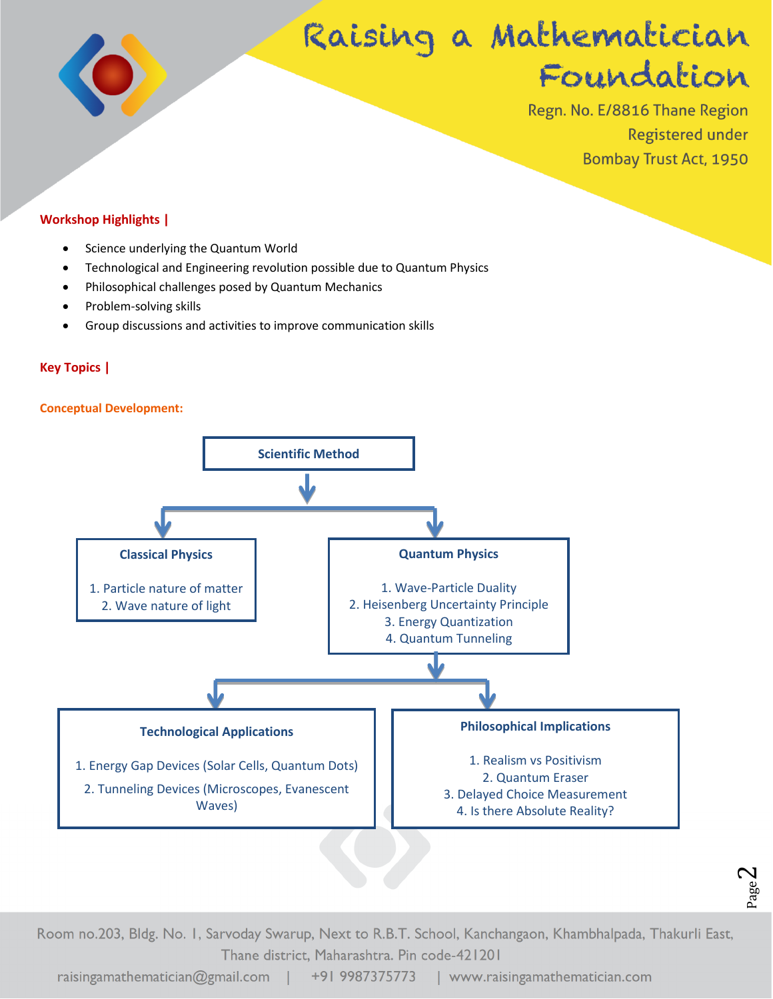

# Raising a Mathematician Foundation

Regn. No. E/8816 Thane Region **Registered under Bombay Trust Act, 1950** 

> Page  $\mathrel{\sim}$

# **Workshop Highlights |**

- Science underlying the Quantum World
- Technological and Engineering revolution possible due to Quantum Physics
- Philosophical challenges posed by Quantum Mechanics
- Problem-solving skills
- Group discussions and activities to improve communication skills

# **Key Topics |**

### **Conceptual Development:**



Room no.203, Bldg. No. 1, Sarvoday Swarup, Next to R.B.T. School, Kanchangaon, Khambhalpada, Thakurli East, Thane district, Maharashtra. Pin code-421201

raisingamathematician@gmail.com | +91 9987375773 | www.raisingamathematician.com